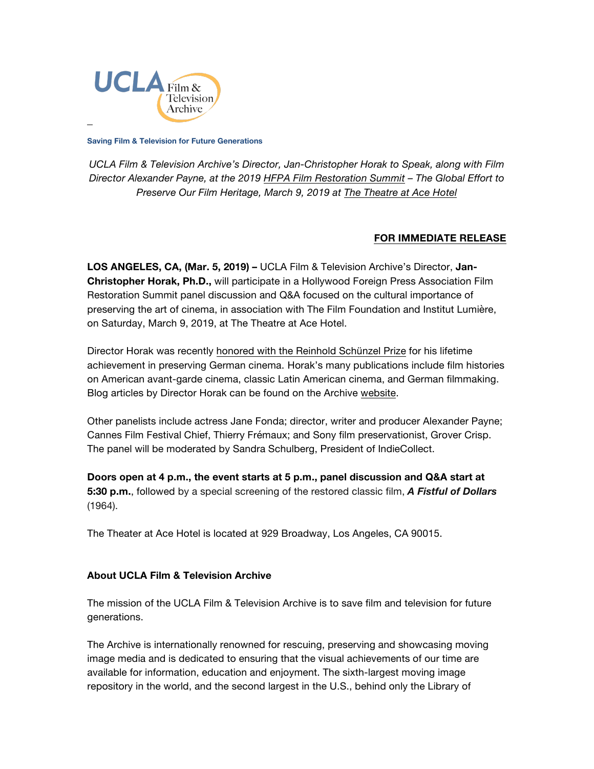

**Saving Film & Television for Future Generations**

*UCLA Film & Television Archive's Director, Jan-Christopher Horak to Speak, along with Film Director Alexander Payne, at the 2019 [HFPA Film Restoration Summit](https://theatre.acehotel.com/events/hfpa-film-restoration-summit/) – The Global Effort to Preserve Our Film Heritage, March 9, 2019 at [The Theatre](https://theatre.acehotel.com/) at Ace Hotel*

## **FOR IMMEDIATE RELEASE**

**LOS ANGELES, CA, (Mar. 5, 2019) –** UCLA Film & Television Archive's Director, **Jan-Christopher Horak, Ph.D.,** will participate in a Hollywood Foreign Press Association Film Restoration Summit panel discussion and Q&A focused on the cultural importance of preserving the art of cinema, in association with The Film Foundation and Institut Lumière, on Saturday, March 9, 2019, at The Theatre at Ace Hotel.

Director Horak was recently [honored with the Reinhold Schünzel Prize](http://newsroom.ucla.edu/dept/faculty/film-expert-honored-for-work-on-german-exile-cinema) for his lifetime achievement in preserving German cinema. Horak's many publications include film histories on American avant-garde cinema, classic Latin American cinema, and German filmmaking. Blog articles by Director Horak can be found on the Archive [website.](https://www.cinema.ucla.edu/blogs/archival-spaces)

Other panelists include actress Jane Fonda; director, writer and producer Alexander Payne; Cannes Film Festival Chief, Thierry Frémaux; and Sony film preservationist, Grover Crisp. The panel will be moderated by Sandra Schulberg, President of IndieCollect.

**Doors open at 4 p.m., the event starts at 5 p.m., panel discussion and Q&A start at 5:30 p.m.**, followed by a special screening of the restored classic film, *A Fistful of Dollars* (1964).

The Theater at Ace Hotel is located at 929 Broadway, Los Angeles, CA 90015.

## **About UCLA Film & Television Archive**

The mission of the UCLA Film & Television Archive is to save film and television for future generations.

The Archive is internationally renowned for rescuing, preserving and showcasing moving image media and is dedicated to ensuring that the visual achievements of our time are available for information, education and enjoyment. The sixth-largest moving image repository in the world, and the second largest in the U.S., behind only the Library of